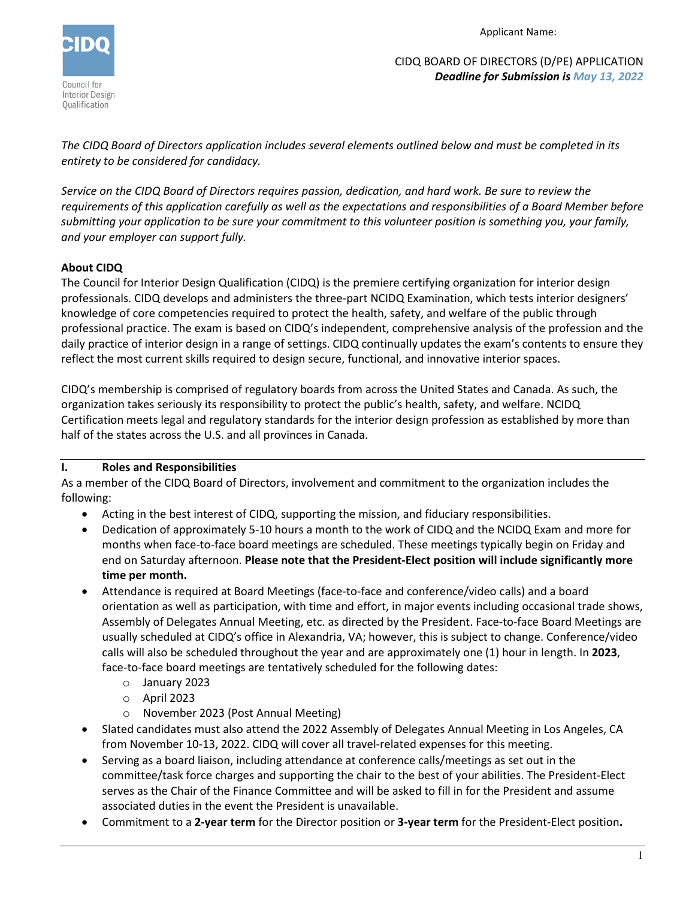

Applicant Name:

CIDQ BOARD OF DIRECTORS (D/PE) APPLICATION *Deadline for Submission is May 13, 2022*

*The CIDQ Board of Directors application includes several elements outlined below and must be completed in its entirety to be considered for candidacy.* 

*Service on the CIDQ Board of Directors requires passion, dedication, and hard work. Be sure to review the requirements of this application carefully as well as the expectations and responsibilities of a Board Member before submitting your application to be sure your commitment to this volunteer position is something you, your family, and your employer can support fully.* 

## **About CIDQ**

The Council for Interior Design Qualification (CIDQ) is the premiere certifying organization for interior design professionals. CIDQ develops and administers the three-part NCIDQ Examination, which tests interior designers' knowledge of core competencies required to protect the health, safety, and welfare of the public through professional practice. The exam is based on CIDQ's independent, comprehensive analysis of the profession and the daily practice of interior design in a range of settings. CIDQ continually updates the exam's contents to ensure they reflect the most current skills required to design secure, functional, and innovative interior spaces.

CIDQ's membership is comprised of regulatory boards from across the United States and Canada. As such, the organization takes seriously its responsibility to protect the public's health, safety, and welfare. NCIDQ Certification meets legal and regulatory standards for the interior design profession as established by more than half of the states across the U.S. and all provinces in Canada.

## **I. Roles and Responsibilities**

As a member of the CIDQ Board of Directors, involvement and commitment to the organization includes the following:

- Acting in the best interest of CIDQ, supporting the mission, and fiduciary responsibilities.
- Dedication of approximately 5-10 hours a month to the work of CIDQ and the NCIDQ Exam and more for months when face-to-face board meetings are scheduled. These meetings typically begin on Friday and end on Saturday afternoon. **Please note that the President-Elect position will include significantly more time per month.**
- Attendance is required at Board Meetings (face-to-face and conference/video calls) and a board orientation as well as participation, with time and effort, in major events including occasional trade shows, Assembly of Delegates Annual Meeting, etc. as directed by the President. Face-to-face Board Meetings are usually scheduled at CIDQ's office in Alexandria, VA; however, this is subject to change. Conference/video calls will also be scheduled throughout the year and are approximately one (1) hour in length. In **2023**, face-to-face board meetings are tentatively scheduled for the following dates:
	- o January 2023
	- o April 2023
	- o November 2023 (Post Annual Meeting)
- Slated candidates must also attend the 2022 Assembly of Delegates Annual Meeting in Los Angeles, CA from November 10-13, 2022. CIDQ will cover all travel-related expenses for this meeting.
- Serving as a board liaison, including attendance at conference calls/meetings as set out in the committee/task force charges and supporting the chair to the best of your abilities. The President-Elect serves as the Chair of the Finance Committee and will be asked to fill in for the President and assume associated duties in the event the President is unavailable.
- Commitment to a **2-year term** for the Director position or **3-year term** for the President-Elect position**.**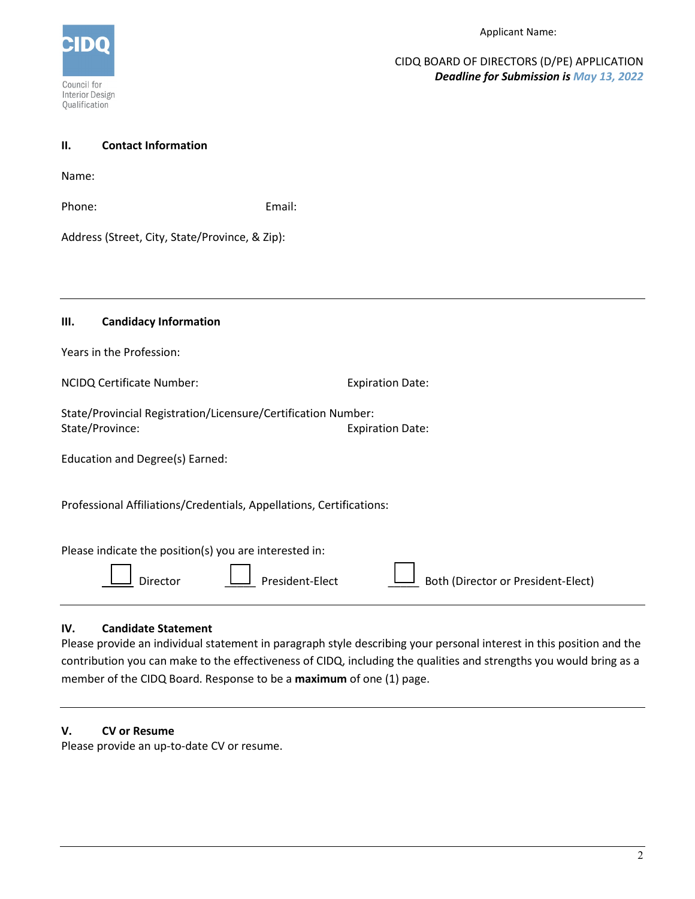

CIDQ BOARD OF DIRECTORS (D/PE) APPLICATION *Deadline for Submission is May 13, 2022*

| <b>Contact Information</b><br>П.                                     |                                                       |  |  |
|----------------------------------------------------------------------|-------------------------------------------------------|--|--|
| Name:                                                                |                                                       |  |  |
| Phone:                                                               | Email:                                                |  |  |
| Address (Street, City, State/Province, & Zip):                       |                                                       |  |  |
|                                                                      |                                                       |  |  |
|                                                                      |                                                       |  |  |
| <b>Candidacy Information</b><br>Ш.                                   |                                                       |  |  |
| Years in the Profession:                                             |                                                       |  |  |
| NCIDQ Certificate Number:                                            | <b>Expiration Date:</b>                               |  |  |
| State/Provincial Registration/Licensure/Certification Number:        |                                                       |  |  |
| State/Province:                                                      | <b>Expiration Date:</b>                               |  |  |
| Education and Degree(s) Earned:                                      |                                                       |  |  |
| Professional Affiliations/Credentials, Appellations, Certifications: |                                                       |  |  |
| Please indicate the position(s) you are interested in:               |                                                       |  |  |
| Director                                                             | Both (Director or President-Elect)<br>President-Elect |  |  |

### **IV. Candidate Statement**

Please provide an individual statement in paragraph style describing your personal interest in this position and the contribution you can make to the effectiveness of CIDQ, including the qualities and strengths you would bring as a member of the CIDQ Board. Response to be a **maximum** of one (1) page.

# **V. CV or Resume**

Please provide an up-to-date CV or resume.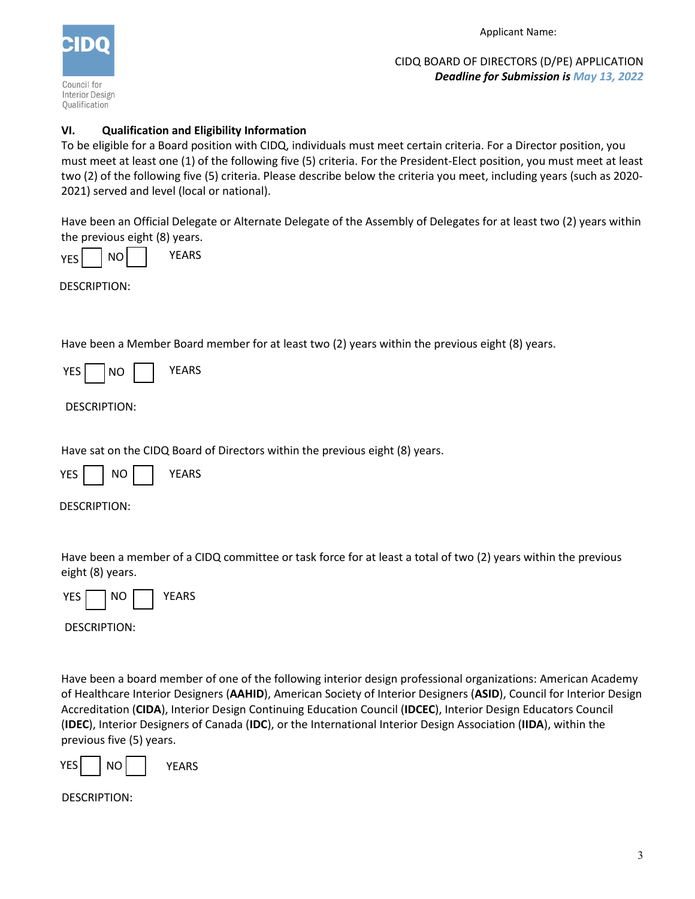

Applicant Name:

CIDQ BOARD OF DIRECTORS (D/PE) APPLICATION *Deadline for Submission is May 13, 2022*

## **VI. Qualification and Eligibility Information**

To be eligible for a Board position with CIDQ, individuals must meet certain criteria. For a Director position, you must meet at least one (1) of the following five (5) criteria. For the President-Elect position, you must meet at least two (2) of the following five (5) criteria. Please describe below the criteria you meet, including years (such as 2020- 2021) served and level (local or national).

Have been an Official Delegate or Alternate Delegate of the Assembly of Delegates for at least two (2) years within the previous eight (8) years.

YES NO YEARS

DESCRIPTION:

Have been a Member Board member for at least two (2) years within the previous eight (8) years.

| YFS<br>NΩ | YEARS |
|-----------|-------|
|-----------|-------|

DESCRIPTION:

Have sat on the CIDQ Board of Directors within the previous eight (8) years.

YES | NO | | YEARS

DESCRIPTION:

Have been a member of a CIDQ committee or task force for at least a total of two (2) years within the previous eight (8) years.



DESCRIPTION:

Have been a board member of one of the following interior design professional organizations: American Academy of Healthcare Interior Designers (**AAHID**), American Society of Interior Designers (**ASID**), Council for Interior Design Accreditation (**CIDA**), Interior Design Continuing Education Council (**IDCEC**), Interior Design Educators Council (**IDEC**), Interior Designers of Canada (**IDC**), or the International Interior Design Association (**IIDA**), within the previous five (5) years.

YES | NO | | YEARS

DESCRIPTION: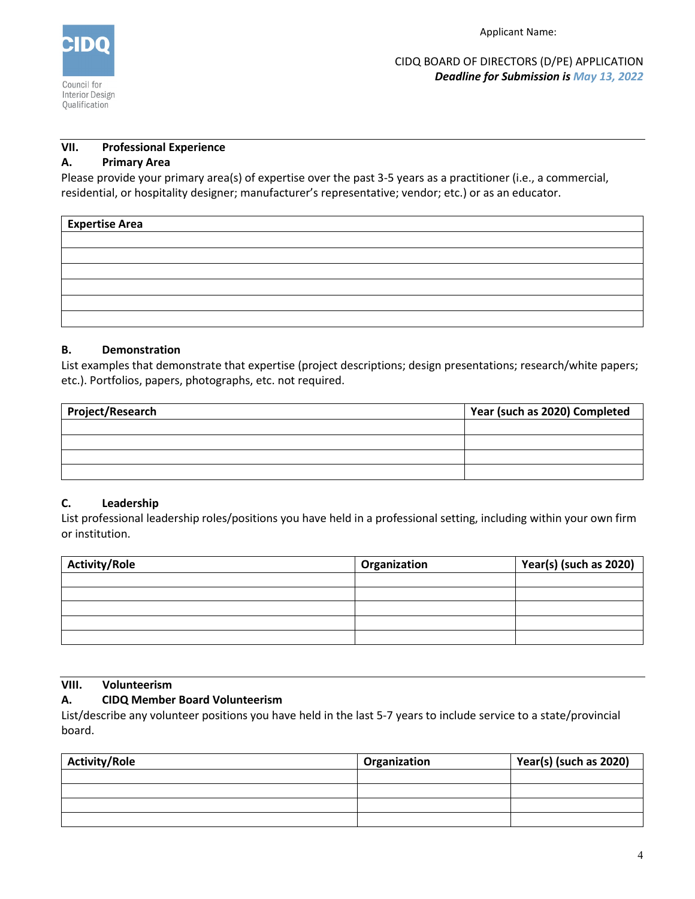

Applicant Name:

CIDQ BOARD OF DIRECTORS (D/PE) APPLICATION *Deadline for Submission is May 13, 2022*

### **VII. Professional Experience**

### **A. Primary Area**

Please provide your primary area(s) of expertise over the past 3-5 years as a practitioner (i.e., a commercial, residential, or hospitality designer; manufacturer's representative; vendor; etc.) or as an educator.

| <b>Expertise Area</b> |  |  |
|-----------------------|--|--|
|                       |  |  |
|                       |  |  |
|                       |  |  |
|                       |  |  |
|                       |  |  |
|                       |  |  |

### **B. Demonstration**

List examples that demonstrate that expertise (project descriptions; design presentations; research/white papers; etc.). Portfolios, papers, photographs, etc. not required.

| Project/Research | Year (such as 2020) Completed |  |
|------------------|-------------------------------|--|
|                  |                               |  |
|                  |                               |  |
|                  |                               |  |
|                  |                               |  |

## **C. Leadership**

List professional leadership roles/positions you have held in a professional setting, including within your own firm or institution.

| <b>Activity/Role</b> | Organization | Year(s) (such as 2020) |
|----------------------|--------------|------------------------|
|                      |              |                        |
|                      |              |                        |
|                      |              |                        |
|                      |              |                        |
|                      |              |                        |

## **VIII. Volunteerism**

## **A. CIDQ Member Board Volunteerism**

List/describe any volunteer positions you have held in the last 5-7 years to include service to a state/provincial board.

| <b>Activity/Role</b> | Organization | Year(s) (such as 2020) |
|----------------------|--------------|------------------------|
|                      |              |                        |
|                      |              |                        |
|                      |              |                        |
|                      |              |                        |